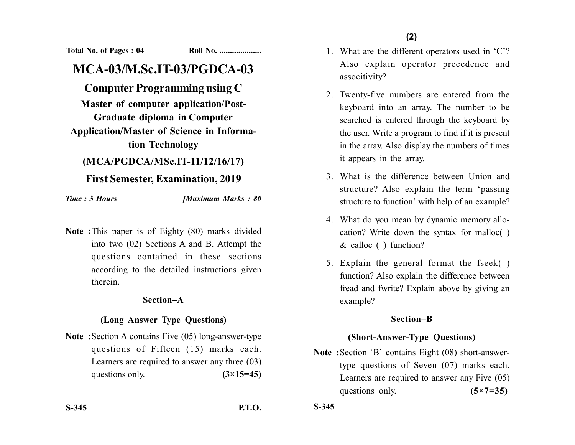**Total No. of Pages : 04 Roll No. ....................**

# **MCA-03/M.Sc.IT-03/PGDCA-03**

# **Computer Programming using C**

**Master of computer application/Post-Graduate diploma in Computer Application/Master of Science in Informa-**

**tion Technology**

## **(MCA/PGDCA/MSc.IT-11/12/16/17)**

# **First Semester, Examination, 2019**

*Time :* **3** *Hours [Maximum Marks : 80*

**Note :**This paper is of Eighty (80) marks divided into two (02) Sections A and B. Attempt the questions contained in these sections according to the detailed instructions given therein.

#### **Section–A**

## **(Long Answer Type Questions)**

**Note :**Section A contains Five (05) long-answer-type questions of Fifteen (15) marks each. Learners are required to answer any three (03) questions only.  $(3\times15=45)$ 

**S-345 P.T.O.**

1. What are the different operators used in 'C'? Also explain operator precedence and associtivity?

- 2. Twenty-five numbers are entered from the keyboard into an array. The number to be searched is entered through the keyboard by the user. Write a program to find if it is present in the array. Also display the numbers of times it appears in the array.
- 3. What is the difference between Union and structure? Also explain the term 'passing structure to function' with help of an example?
- 4. What do you mean by dynamic memory allocation? Write down the syntax for malloc( ) & calloc ( ) function?
- 5. Explain the general format the fseek( ) function? Also explain the difference between fread and fwrite? Explain above by giving an example?

## **Section–B**

# **(Short-Answer-Type Questions)**

**Note :**Section 'B' contains Eight (08) short-answertype questions of Seven (07) marks each. Learners are required to answer any Five (05) questions only. **(5×7=35)**